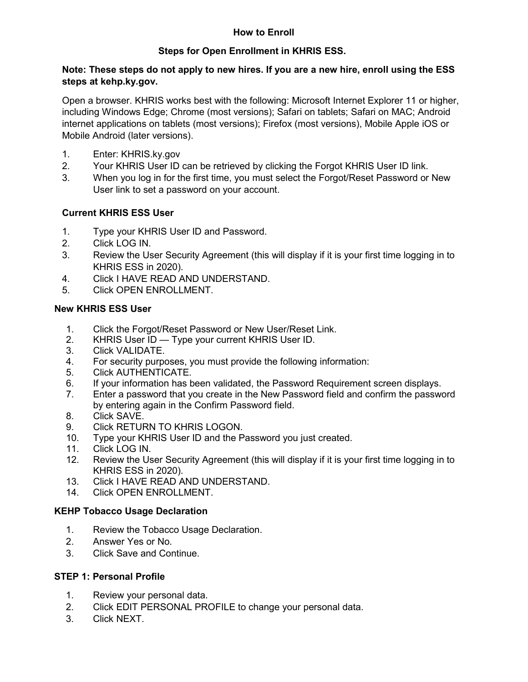# **How to Enroll**

## **Steps for Open Enrollment in KHRIS ESS.**

#### **Note: These steps do not apply to new hires. If you are a new hire, enroll using the ESS steps at [kehp.ky.gov.](https://personnel.ky.gov/Pages/healthinsurance.aspx)**

Open a browser. KHRIS works best with the following: Microsoft Internet Explorer 11 or higher, including Windows Edge; Chrome (most versions); Safari on tablets; Safari on MAC; Android internet applications on tablets (most versions); Firefox (most versions), Mobile Apple iOS or Mobile Android (later versions).

- 1. Enter: KHRIS.ky.gov
- 2. Your KHRIS User ID can be retrieved by clicking the Forgot KHRIS User ID link.
- 3. When you log in for the first time, you must select the Forgot/Reset Password or New User link to set a password on your account.

## **Current KHRIS ESS User**

- 1. Type your KHRIS User ID and Password.
- 2. Click LOG IN.
- 3. Review the User Security Agreement (this will display if it is your first time logging in to KHRIS ESS in 2020).
- 4. Click I HAVE READ AND UNDERSTAND.
- 5. Click OPEN ENROLLMENT.

#### **New KHRIS ESS User**

- 1. Click the Forgot/Reset Password or New User/Reset Link.
- 2. KHRIS User ID Type your current KHRIS User ID.<br>3. Click VALIDATE.
- Click VALIDATE.
- 4. For security purposes, you must provide the following information:
- 5. Click AUTHENTICATE.
- 6. If your information has been validated, the Password Requirement screen displays.
- 7. Enter a password that you create in the New Password field and confirm the password by entering again in the Confirm Password field.
- 8. Click SAVE.<br>9. Click RETUF
- Click RETURN TO KHRIS LOGON.
- 10. Type your KHRIS User ID and the Password you just created.
- 11. Click LOG IN.
- 12. Review the User Security Agreement (this will display if it is your first time logging in to KHRIS ESS in 2020).
- 13. Click I HAVE READ AND UNDERSTAND.<br>14. Click OPEN ENROLLMENT.
- Click OPEN ENROLLMENT.

#### **KEHP Tobacco Usage Declaration**

- 1. Review the Tobacco Usage Declaration.
- 2. Answer Yes or No.
- 3. Click Save and Continue.

#### **STEP 1: Personal Profile**

- 1. Review your personal data.
- 2. Click EDIT PERSONAL PROFILE to change your personal data.
- 3. Click NEXT.